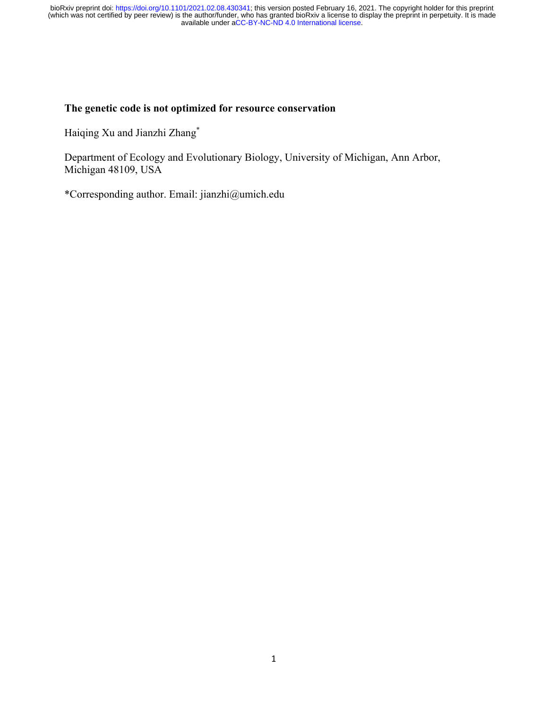#### **The genetic code is not optimized for resource conservation**

Haiqing Xu and Jianzhi Zhang\*

Department of Ecology and Evolutionary Biology, University of Michigan, Ann Arbor, Michigan 48109, USA

\*Corresponding author. Email: jianzhi@umich.edu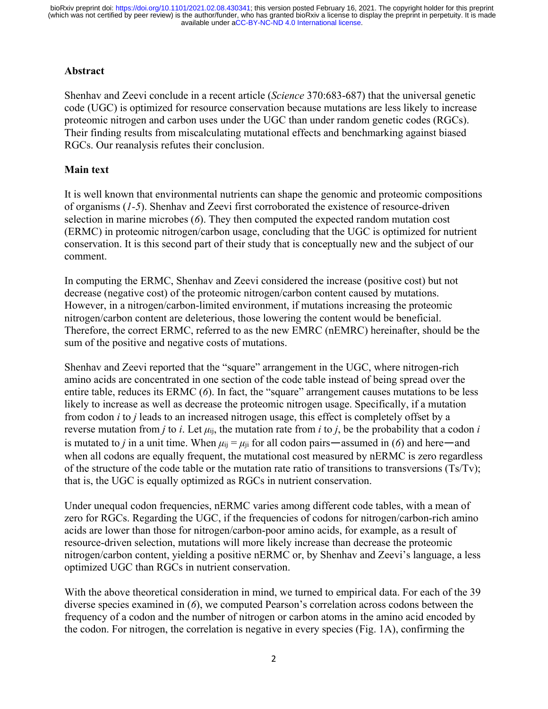### **Abstract**

Shenhav and Zeevi conclude in a recent article (*Science* 370:683-687) that the universal genetic code (UGC) is optimized for resource conservation because mutations are less likely to increase proteomic nitrogen and carbon uses under the UGC than under random genetic codes (RGCs). Their finding results from miscalculating mutational effects and benchmarking against biased RGCs. Our reanalysis refutes their conclusion.

### **Main text**

It is well known that environmental nutrients can shape the genomic and proteomic compositions of organisms (*1-5*). Shenhav and Zeevi first corroborated the existence of resource-driven selection in marine microbes (*6*). They then computed the expected random mutation cost (ERMC) in proteomic nitrogen/carbon usage, concluding that the UGC is optimized for nutrient conservation. It is this second part of their study that is conceptually new and the subject of our comment.

In computing the ERMC, Shenhav and Zeevi considered the increase (positive cost) but not decrease (negative cost) of the proteomic nitrogen/carbon content caused by mutations. However, in a nitrogen/carbon-limited environment, if mutations increasing the proteomic nitrogen/carbon content are deleterious, those lowering the content would be beneficial. Therefore, the correct ERMC, referred to as the new EMRC (nEMRC) hereinafter, should be the sum of the positive and negative costs of mutations.

Shenhav and Zeevi reported that the "square" arrangement in the UGC, where nitrogen-rich amino acids are concentrated in one section of the code table instead of being spread over the entire table, reduces its ERMC (*6*). In fact, the "square" arrangement causes mutations to be less likely to increase as well as decrease the proteomic nitrogen usage. Specifically, if a mutation from codon *i* to *j* leads to an increased nitrogen usage, this effect is completely offset by a reverse mutation from *j* to *i*. Let  $\mu_{ij}$ , the mutation rate from *i* to *j*, be the probability that a codon *i* is mutated to *j* in a unit time. When  $\mu_{ij} = \mu_{ji}$  for all codon pairs—assumed in (6) and here—and when all codons are equally frequent, the mutational cost measured by nERMC is zero regardless of the structure of the code table or the mutation rate ratio of transitions to transversions ( $T\text{s}/T\text{v}$ ); that is, the UGC is equally optimized as RGCs in nutrient conservation.

Under unequal codon frequencies, nERMC varies among different code tables, with a mean of zero for RGCs. Regarding the UGC, if the frequencies of codons for nitrogen/carbon-rich amino acids are lower than those for nitrogen/carbon-poor amino acids, for example, as a result of resource-driven selection, mutations will more likely increase than decrease the proteomic nitrogen/carbon content, yielding a positive nERMC or, by Shenhav and Zeevi's language, a less optimized UGC than RGCs in nutrient conservation.

With the above theoretical consideration in mind, we turned to empirical data. For each of the 39 diverse species examined in (*6*), we computed Pearson's correlation across codons between the frequency of a codon and the number of nitrogen or carbon atoms in the amino acid encoded by the codon. For nitrogen, the correlation is negative in every species (Fig. 1A), confirming the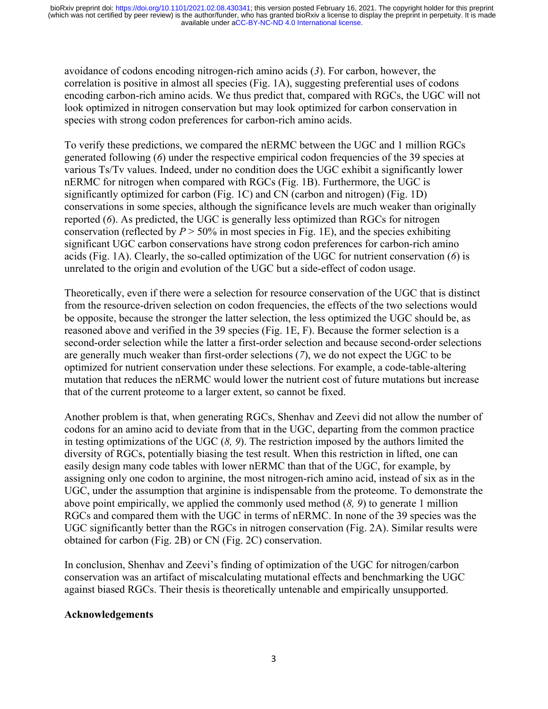avoidance of codons encoding nitrogen-rich amino acids (*3*). For carbon, however, the correlation is positive in almost all species (Fig. 1A), suggesting preferential uses of codons encoding carbon-rich amino acids. We thus predict that, compared with RGCs, the UGC will not look optimized in nitrogen conservation but may look optimized for carbon conservation in species with strong codon preferences for carbon-rich amino acids.

To verify these predictions, we compared the nERMC between the UGC and 1 million RGCs generated following (*6*) under the respective empirical codon frequencies of the 39 species at various Ts/Tv values. Indeed, under no condition does the UGC exhibit a significantly lower nERMC for nitrogen when compared with RGCs (Fig. 1B). Furthermore, the UGC is significantly optimized for carbon (Fig. 1C) and CN (carbon and nitrogen) (Fig. 1D) conservations in some species, although the significance levels are much weaker than originally reported (*6*). As predicted, the UGC is generally less optimized than RGCs for nitrogen conservation (reflected by  $P > 50\%$  in most species in Fig. 1E), and the species exhibiting significant UGC carbon conservations have strong codon preferences for carbon-rich amino acids (Fig. 1A). Clearly, the so-called optimization of the UGC for nutrient conservation (*6*) is unrelated to the origin and evolution of the UGC but a side-effect of codon usage.

Theoretically, even if there were a selection for resource conservation of the UGC that is distinct from the resource-driven selection on codon frequencies, the effects of the two selections would be opposite, because the stronger the latter selection, the less optimized the UGC should be, as reasoned above and verified in the 39 species (Fig. 1E, F). Because the former selection is a second-order selection while the latter a first-order selection and because second-order selections are generally much weaker than first-order selections (*7*), we do not expect the UGC to be optimized for nutrient conservation under these selections. For example, a code-table-altering mutation that reduces the nERMC would lower the nutrient cost of future mutations but increase that of the current proteome to a larger extent, so cannot be fixed.

Another problem is that, when generating RGCs, Shenhav and Zeevi did not allow the number of codons for an amino acid to deviate from that in the UGC, departing from the common practice in testing optimizations of the UGC (*8, 9*). The restriction imposed by the authors limited the diversity of RGCs, potentially biasing the test result. When this restriction in lifted, one can easily design many code tables with lower nERMC than that of the UGC, for example, by assigning only one codon to arginine, the most nitrogen-rich amino acid, instead of six as in the UGC, under the assumption that arginine is indispensable from the proteome. To demonstrate the above point empirically, we applied the commonly used method (*8, 9*) to generate 1 million RGCs and compared them with the UGC in terms of nERMC. In none of the 39 species was the UGC significantly better than the RGCs in nitrogen conservation (Fig. 2A). Similar results were obtained for carbon (Fig. 2B) or CN (Fig. 2C) conservation.

In conclusion, Shenhav and Zeevi's finding of optimization of the UGC for nitrogen/carbon conservation was an artifact of miscalculating mutational effects and benchmarking the UGC against biased RGCs. Their thesis is theoretically untenable and empirically unsupported.

# **Acknowledgements**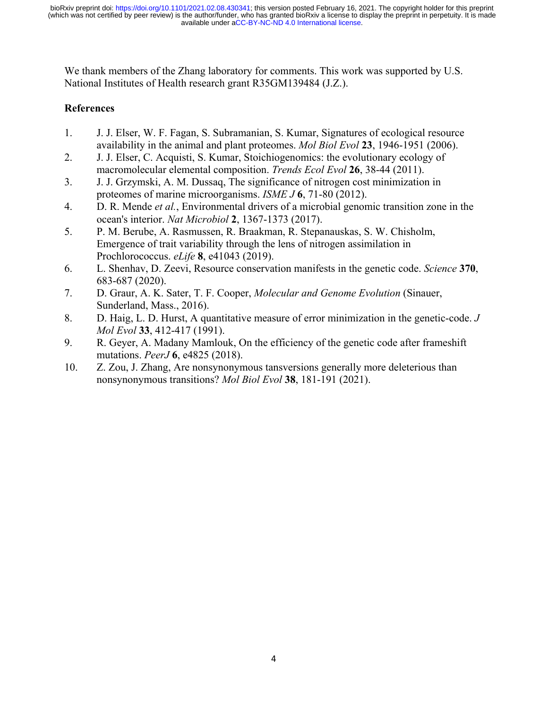We thank members of the Zhang laboratory for comments. This work was supported by U.S. National Institutes of Health research grant R35GM139484 (J.Z.).

### **References**

- 1. J. J. Elser, W. F. Fagan, S. Subramanian, S. Kumar, Signatures of ecological resource availability in the animal and plant proteomes. *Mol Biol Evol* **23**, 1946-1951 (2006).
- 2. J. J. Elser, C. Acquisti, S. Kumar, Stoichiogenomics: the evolutionary ecology of macromolecular elemental composition. *Trends Ecol Evol* **26**, 38-44 (2011).
- 3. J. J. Grzymski, A. M. Dussaq, The significance of nitrogen cost minimization in proteomes of marine microorganisms. *ISME J* **6**, 71-80 (2012).
- 4. D. R. Mende *et al.*, Environmental drivers of a microbial genomic transition zone in the ocean's interior. *Nat Microbiol* **2**, 1367-1373 (2017).
- 5. P. M. Berube, A. Rasmussen, R. Braakman, R. Stepanauskas, S. W. Chisholm, Emergence of trait variability through the lens of nitrogen assimilation in Prochlorococcus. *eLife* **8**, e41043 (2019).
- 6. L. Shenhav, D. Zeevi, Resource conservation manifests in the genetic code. *Science* **370**, 683-687 (2020).
- 7. D. Graur, A. K. Sater, T. F. Cooper, *Molecular and Genome Evolution* (Sinauer, Sunderland, Mass., 2016).
- 8. D. Haig, L. D. Hurst, A quantitative measure of error minimization in the genetic-code. *J Mol Evol* **33**, 412-417 (1991).
- 9. R. Geyer, A. Madany Mamlouk, On the efficiency of the genetic code after frameshift mutations. *PeerJ* **6**, e4825 (2018).
- 10. Z. Zou, J. Zhang, Are nonsynonymous tansversions generally more deleterious than nonsynonymous transitions? *Mol Biol Evol* **38**, 181-191 (2021).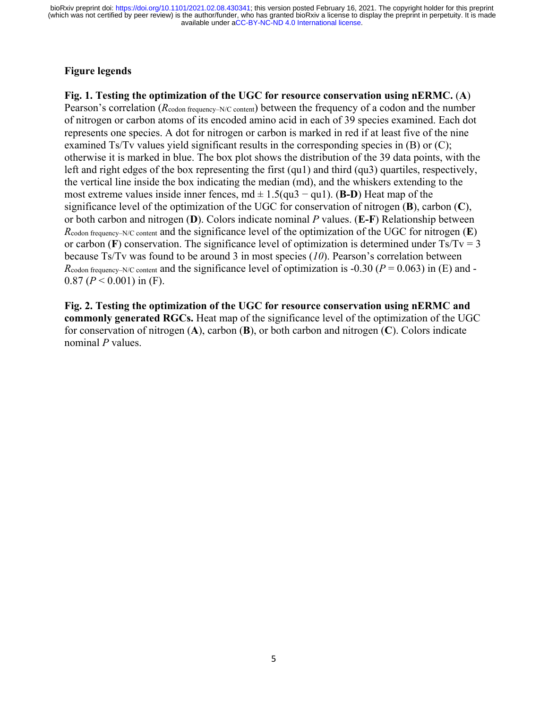# **Figure legends**

**Fig. 1. Testing the optimization of the UGC for resource conservation using nERMC.** (**A**) Pearson's correlation (*Rcodon frequency–N/C content*) between the frequency of a codon and the number of nitrogen or carbon atoms of its encoded amino acid in each of 39 species examined. Each dot represents one species. A dot for nitrogen or carbon is marked in red if at least five of the nine examined Ts/Tv values yield significant results in the corresponding species in (B) or (C); otherwise it is marked in blue. The box plot shows the distribution of the 39 data points, with the left and right edges of the box representing the first (qu1) and third (qu3) quartiles, respectively, the vertical line inside the box indicating the median (md), and the whiskers extending to the most extreme values inside inner fences, md ± 1.5(qu3 − qu1). (**B-D**) Heat map of the significance level of the optimization of the UGC for conservation of nitrogen (**B**), carbon (**C**), or both carbon and nitrogen (**D**). Colors indicate nominal *P* values. (**E-F**) Relationship between *R*codon frequency–N/C content and the significance level of the optimization of the UGC for nitrogen (**E**) or carbon ( $\bf{F}$ ) conservation. The significance level of optimization is determined under  $\rm{Ts/Tv = 3}$ because Ts/Tv was found to be around 3 in most species (*10*). Pearson's correlation between  $R_{\text{codon frequency}-N/C \text{ content}}$  and the significance level of optimization is -0.30 ( $P = 0.063$ ) in (E) and - $0.87$  ( $P < 0.001$ ) in (F).

**Fig. 2. Testing the optimization of the UGC for resource conservation using nERMC and commonly generated RGCs.** Heat map of the significance level of the optimization of the UGC for conservation of nitrogen (**A**), carbon (**B**), or both carbon and nitrogen (**C**). Colors indicate nominal *P* values.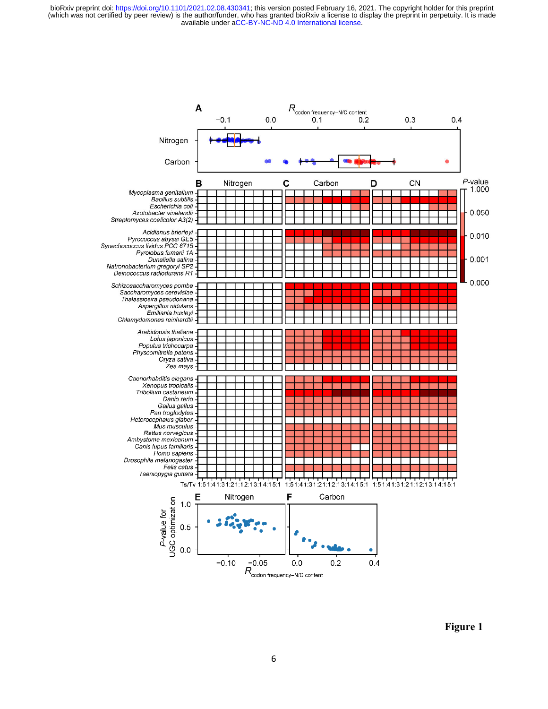

**Figure 1**